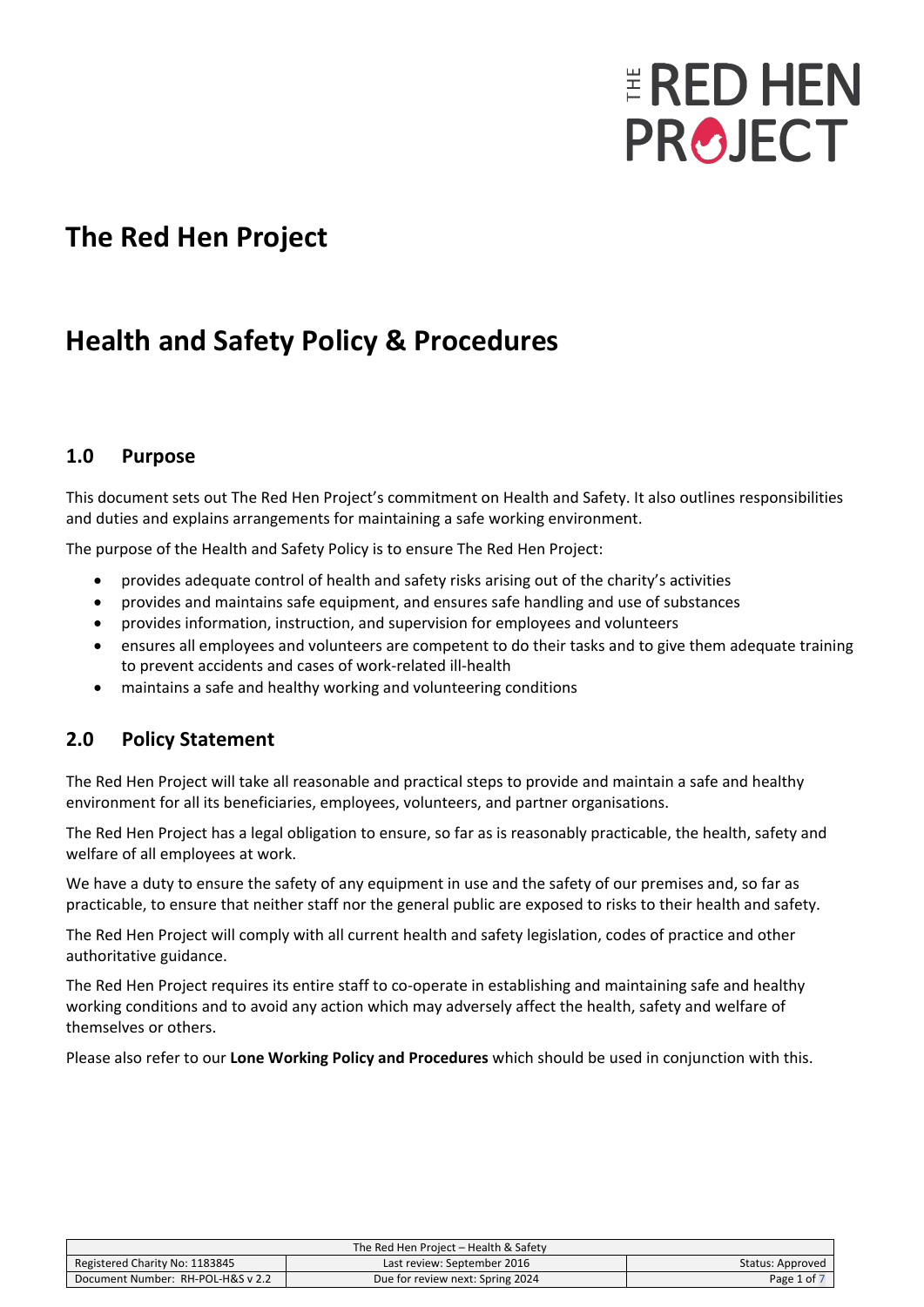# **ERED HEN PROJECT**

### **The Red Hen Project**

# **Health and Safety Policy & Procedures**

#### **1.0 Purpose**

This document sets out The Red Hen Project's commitment on Health and Safety. It also outlines responsibilities and duties and explains arrangements for maintaining a safe working environment.

The purpose of the Health and Safety Policy is to ensure The Red Hen Project:

- provides adequate control of health and safety risks arising out of the charity's activities
- provides and maintains safe equipment, and ensures safe handling and use of substances
- provides information, instruction, and supervision for employees and volunteers
- ensures all employees and volunteers are competent to do their tasks and to give them adequate training to prevent accidents and cases of work-related ill-health
- maintains a safe and healthy working and volunteering conditions

#### **2.0 Policy Statement**

The Red Hen Project will take all reasonable and practical steps to provide and maintain a safe and healthy environment for all its beneficiaries, employees, volunteers, and partner organisations.

The Red Hen Project has a legal obligation to ensure, so far as is reasonably practicable, the health, safety and welfare of all employees at work.

We have a duty to ensure the safety of any equipment in use and the safety of our premises and, so far as practicable, to ensure that neither staff nor the general public are exposed to risks to their health and safety.

The Red Hen Project will comply with all current health and safety legislation, codes of practice and other authoritative guidance.

The Red Hen Project requires its entire staff to co-operate in establishing and maintaining safe and healthy working conditions and to avoid any action which may adversely affect the health, safety and welfare of themselves or others.

Please also refer to our **Lone Working Policy and Procedures** which should be used in conjunction with this.

| The Red Hen Project - Health & Safety |                                  |                  |
|---------------------------------------|----------------------------------|------------------|
| Registered Charity No: 1183845        | Last review: September 2016      | Status: Approved |
| Document Number: RH-POL-H&S v 2.2     | Due for review next: Spring 2024 | Page 1 of 7      |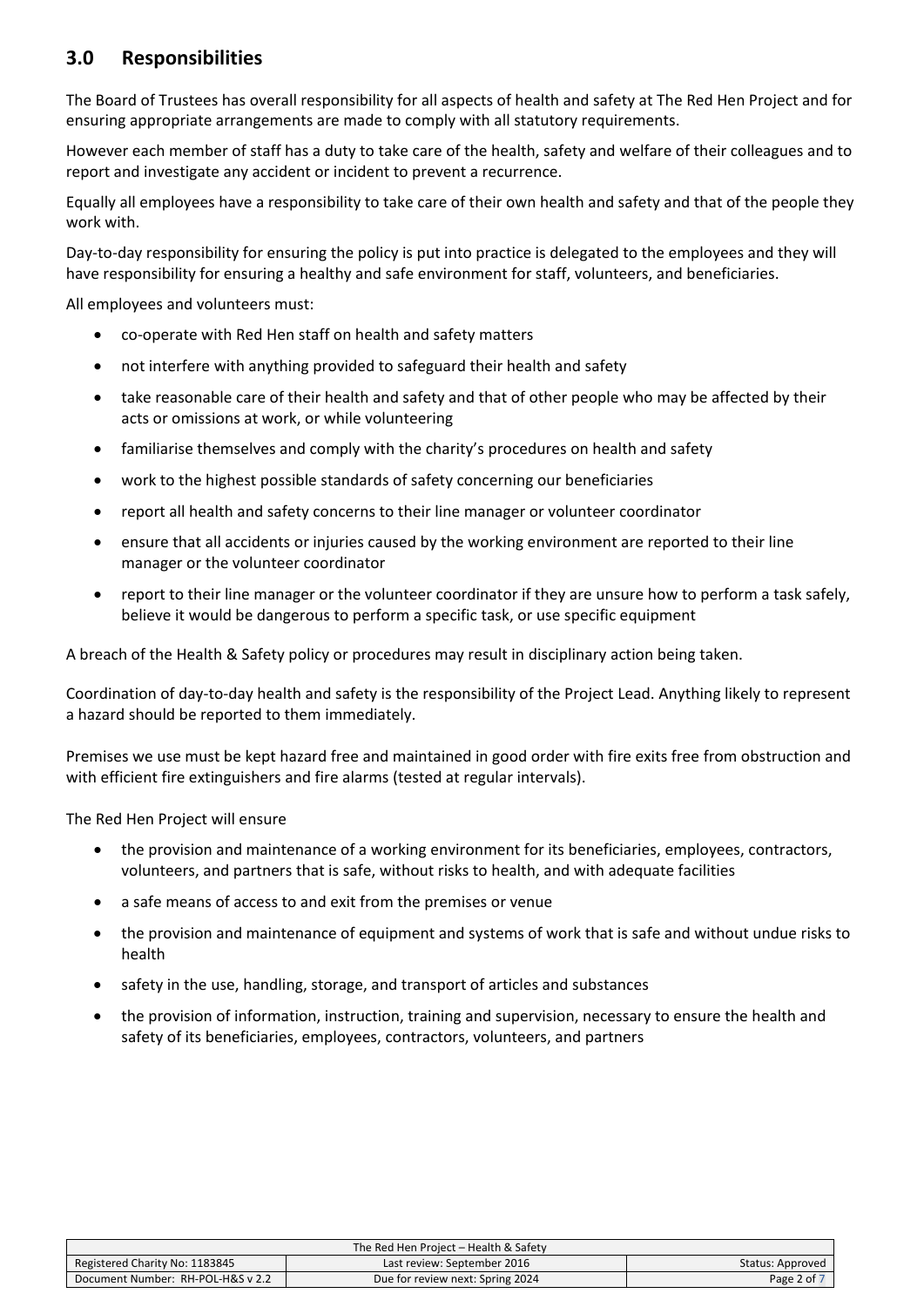#### **3.0 Responsibilities**

The Board of Trustees has overall responsibility for all aspects of health and safety at The Red Hen Project and for ensuring appropriate arrangements are made to comply with all statutory requirements.

However each member of staff has a duty to take care of the health, safety and welfare of their colleagues and to report and investigate any accident or incident to prevent a recurrence.

Equally all employees have a responsibility to take care of their own health and safety and that of the people they work with.

Day-to-day responsibility for ensuring the policy is put into practice is delegated to the employees and they will have responsibility for ensuring a healthy and safe environment for staff, volunteers, and beneficiaries.

All employees and volunteers must:

- co-operate with Red Hen staff on health and safety matters
- not interfere with anything provided to safeguard their health and safety
- take reasonable care of their health and safety and that of other people who may be affected by their acts or omissions at work, or while volunteering
- familiarise themselves and comply with the charity's procedures on health and safety
- work to the highest possible standards of safety concerning our beneficiaries
- report all health and safety concerns to their line manager or volunteer coordinator
- ensure that all accidents or injuries caused by the working environment are reported to their line manager or the volunteer coordinator
- report to their line manager or the volunteer coordinator if they are unsure how to perform a task safely, believe it would be dangerous to perform a specific task, or use specific equipment

A breach of the Health & Safety policy or procedures may result in disciplinary action being taken.

Coordination of day-to-day health and safety is the responsibility of the Project Lead. Anything likely to represent a hazard should be reported to them immediately.

Premises we use must be kept hazard free and maintained in good order with fire exits free from obstruction and with efficient fire extinguishers and fire alarms (tested at regular intervals).

The Red Hen Project will ensure

- the provision and maintenance of a working environment for its beneficiaries, employees, contractors, volunteers, and partners that is safe, without risks to health, and with adequate facilities
- a safe means of access to and exit from the premises or venue
- the provision and maintenance of equipment and systems of work that is safe and without undue risks to health
- safety in the use, handling, storage, and transport of articles and substances
- the provision of information, instruction, training and supervision, necessary to ensure the health and safety of its beneficiaries, employees, contractors, volunteers, and partners

| The Red Hen Project – Health & Safety |                                  |                  |
|---------------------------------------|----------------------------------|------------------|
| Registered Charity No: 1183845        | Last review: September 2016      | Status: Approved |
| Document Number: RH-POL-H&S v 2.2     | Due for review next: Spring 2024 | Page 2 of 7      |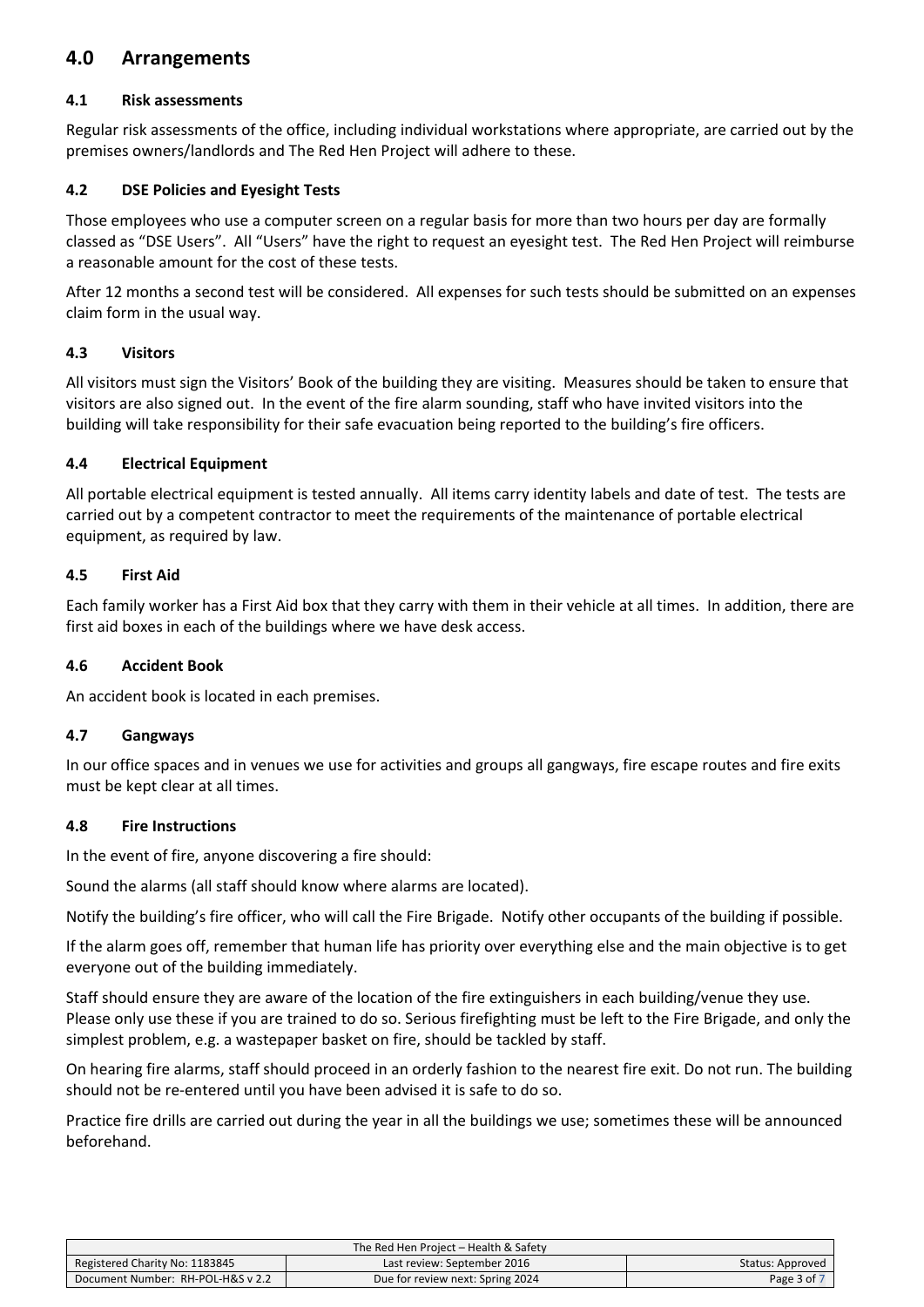#### **4.0 Arrangements**

#### **4.1 Risk assessments**

Regular risk assessments of the office, including individual workstations where appropriate, are carried out by the premises owners/landlords and The Red Hen Project will adhere to these.

#### **4.2 DSE Policies and Eyesight Tests**

Those employees who use a computer screen on a regular basis for more than two hours per day are formally classed as "DSE Users". All "Users" have the right to request an eyesight test. The Red Hen Project will reimburse a reasonable amount for the cost of these tests.

After 12 months a second test will be considered. All expenses for such tests should be submitted on an expenses claim form in the usual way.

#### **4.3 Visitors**

All visitors must sign the Visitors' Book of the building they are visiting. Measures should be taken to ensure that visitors are also signed out. In the event of the fire alarm sounding, staff who have invited visitors into the building will take responsibility for their safe evacuation being reported to the building's fire officers.

#### **4.4 Electrical Equipment**

All portable electrical equipment is tested annually. All items carry identity labels and date of test. The tests are carried out by a competent contractor to meet the requirements of the maintenance of portable electrical equipment, as required by law.

#### **4.5 First Aid**

Each family worker has a First Aid box that they carry with them in their vehicle at all times. In addition, there are first aid boxes in each of the buildings where we have desk access.

#### **4.6 Accident Book**

An accident book is located in each premises.

#### **4.7 Gangways**

In our office spaces and in venues we use for activities and groups all gangways, fire escape routes and fire exits must be kept clear at all times.

#### **4.8 Fire Instructions**

In the event of fire, anyone discovering a fire should:

Sound the alarms (all staff should know where alarms are located).

Notify the building's fire officer, who will call the Fire Brigade. Notify other occupants of the building if possible.

If the alarm goes off, remember that human life has priority over everything else and the main objective is to get everyone out of the building immediately.

Staff should ensure they are aware of the location of the fire extinguishers in each building/venue they use. Please only use these if you are trained to do so. Serious firefighting must be left to the Fire Brigade, and only the simplest problem, e.g. a wastepaper basket on fire, should be tackled by staff.

On hearing fire alarms, staff should proceed in an orderly fashion to the nearest fire exit. Do not run. The building should not be re-entered until you have been advised it is safe to do so.

Practice fire drills are carried out during the year in all the buildings we use; sometimes these will be announced beforehand.

| The Red Hen Project - Health & Safety |                                  |                  |
|---------------------------------------|----------------------------------|------------------|
| Registered Charity No: 1183845        | Last review: September 2016      | Status: Approved |
| Document Number: RH-POL-H&S v 2.2     | Due for review next: Spring 2024 | Page 3 of        |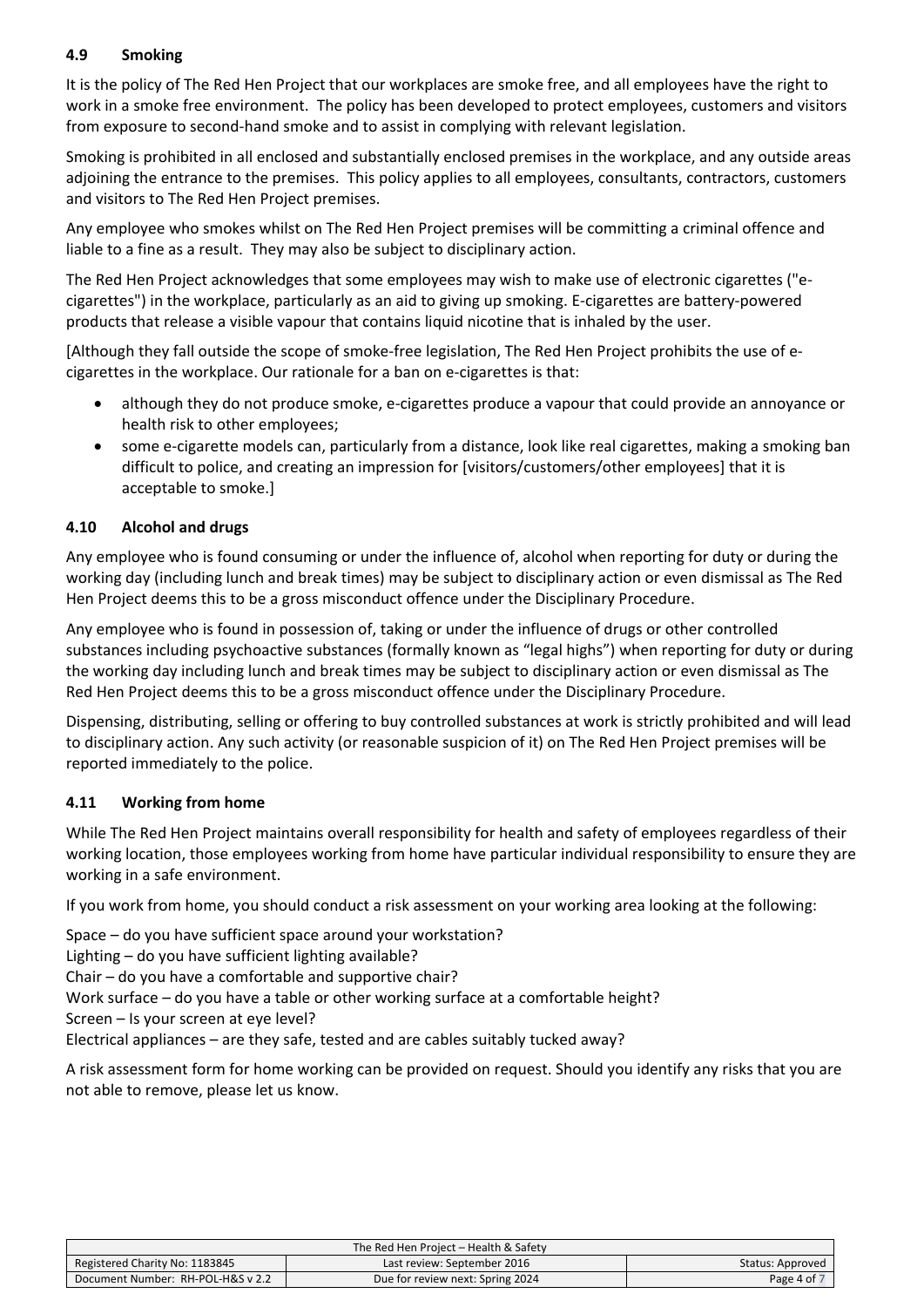#### **4.9 Smoking**

It is the policy of The Red Hen Project that our workplaces are smoke free, and all employees have the right to work in a smoke free environment. The policy has been developed to protect employees, customers and visitors from exposure to second-hand smoke and to assist in complying with relevant legislation.

Smoking is prohibited in all enclosed and substantially enclosed premises in the workplace, and any outside areas adjoining the entrance to the premises. This policy applies to all employees, consultants, contractors, customers and visitors to The Red Hen Project premises.

Any employee who smokes whilst on The Red Hen Project premises will be committing a criminal offence and liable to a fine as a result. They may also be subject to disciplinary action.

The Red Hen Project acknowledges that some employees may wish to make use of electronic cigarettes ("ecigarettes") in the workplace, particularly as an aid to giving up smoking. E-cigarettes are battery-powered products that release a visible vapour that contains liquid nicotine that is inhaled by the user.

[Although they fall outside the scope of smoke-free legislation, The Red Hen Project prohibits the use of ecigarettes in the workplace. Our rationale for a ban on e-cigarettes is that:

- although they do not produce smoke, e-cigarettes produce a vapour that could provide an annoyance or health risk to other employees;
- some e-cigarette models can, particularly from a distance, look like real cigarettes, making a smoking ban difficult to police, and creating an impression for [visitors/customers/other employees] that it is acceptable to smoke.]

#### **4.10 Alcohol and drugs**

Any employee who is found consuming or under the influence of, alcohol when reporting for duty or during the working day (including lunch and break times) may be subject to disciplinary action or even dismissal as The Red Hen Project deems this to be a gross misconduct offence under the Disciplinary Procedure.

Any employee who is found in possession of, taking or under the influence of drugs or other controlled substances including psychoactive substances (formally known as "legal highs") when reporting for duty or during the working day including lunch and break times may be subject to disciplinary action or even dismissal as The Red Hen Project deems this to be a gross misconduct offence under the Disciplinary Procedure.

Dispensing, distributing, selling or offering to buy controlled substances at work is strictly prohibited and will lead to disciplinary action. Any such activity (or reasonable suspicion of it) on The Red Hen Project premises will be reported immediately to the police.

#### **4.11 Working from home**

While The Red Hen Project maintains overall responsibility for health and safety of employees regardless of their working location, those employees working from home have particular individual responsibility to ensure they are working in a safe environment.

If you work from home, you should conduct a risk assessment on your working area looking at the following:

Space – do you have sufficient space around your workstation?

Lighting – do you have sufficient lighting available?

Chair – do you have a comfortable and supportive chair?

Work surface – do you have a table or other working surface at a comfortable height?

Screen – Is your screen at eye level?

Electrical appliances – are they safe, tested and are cables suitably tucked away?

A risk assessment form for home working can be provided on request. Should you identify any risks that you are not able to remove, please let us know.

| The Red Hen Project – Health & Safety |                                  |                  |
|---------------------------------------|----------------------------------|------------------|
| Registered Charity No: 1183845        | Last review: September 2016      | Status: Approved |
| Document Number: RH-POL-H&S v 2.2     | Due for review next: Spring 2024 | Page 4 of        |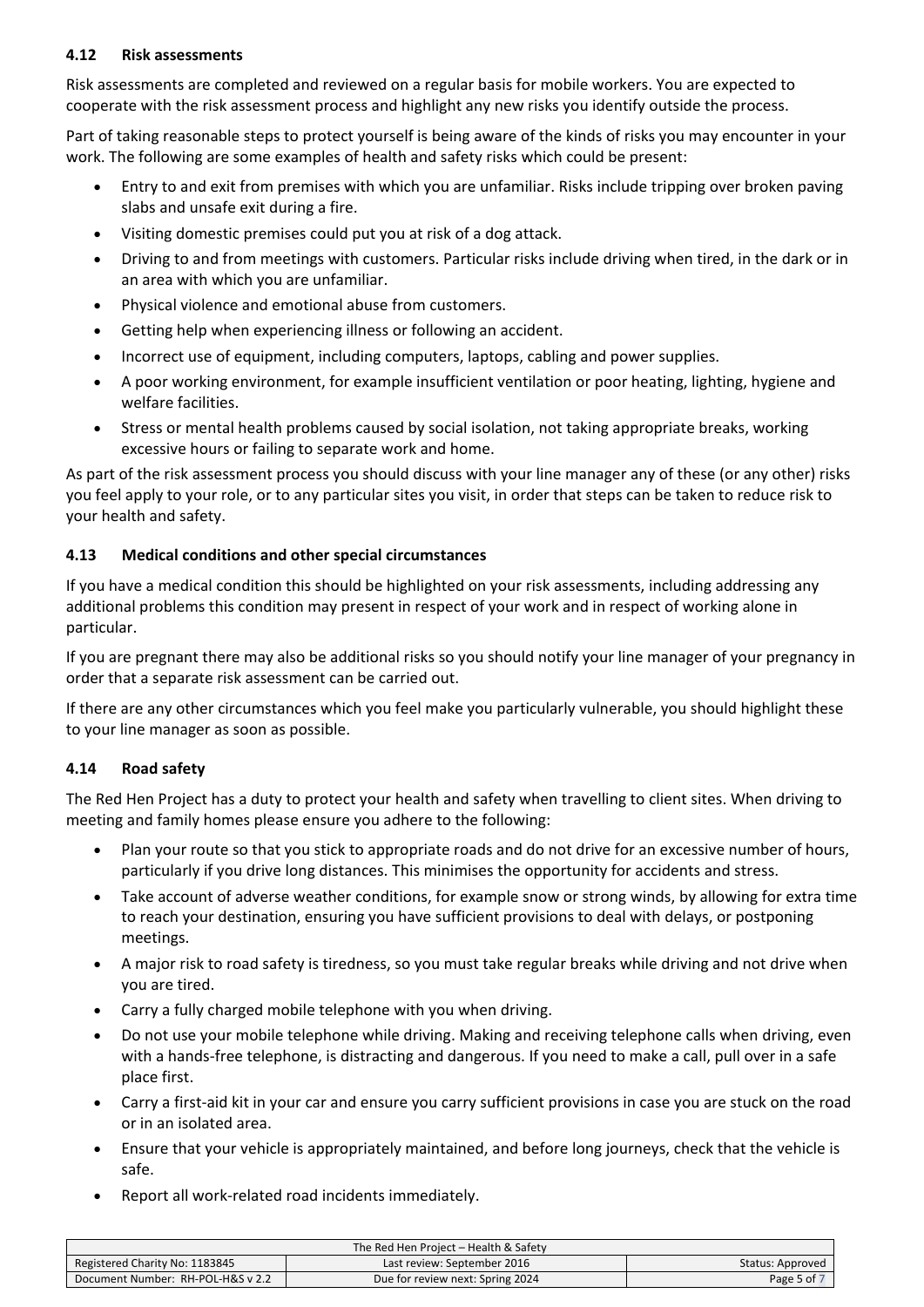#### **4.12 Risk assessments**

Risk assessments are completed and reviewed on a regular basis for mobile workers. You are expected to cooperate with the risk assessment process and highlight any new risks you identify outside the process.

Part of taking reasonable steps to protect yourself is being aware of the kinds of risks you may encounter in your work. The following are some examples of health and safety risks which could be present:

- Entry to and exit from premises with which you are unfamiliar. Risks include tripping over broken paving slabs and unsafe exit during a fire.
- Visiting domestic premises could put you at risk of a dog attack.
- Driving to and from meetings with customers. Particular risks include driving when tired, in the dark or in an area with which you are unfamiliar.
- Physical violence and emotional abuse from customers.
- Getting help when experiencing illness or following an accident.
- Incorrect use of equipment, including computers, laptops, cabling and power supplies.
- A poor working environment, for example insufficient ventilation or poor heating, lighting, hygiene and welfare facilities.
- Stress or mental health problems caused by social isolation, not taking appropriate breaks, working excessive hours or failing to separate work and home.

As part of the risk assessment process you should discuss with your line manager any of these (or any other) risks you feel apply to your role, or to any particular sites you visit, in order that steps can be taken to reduce risk to your health and safety.

#### **4.13 Medical conditions and other special circumstances**

If you have a medical condition this should be highlighted on your risk assessments, including addressing any additional problems this condition may present in respect of your work and in respect of working alone in particular.

If you are pregnant there may also be additional risks so you should notify your line manager of your pregnancy in order that a separate risk assessment can be carried out.

If there are any other circumstances which you feel make you particularly vulnerable, you should highlight these to your line manager as soon as possible.

#### **4.14 Road safety**

The Red Hen Project has a duty to protect your health and safety when travelling to client sites. When driving to meeting and family homes please ensure you adhere to the following:

- Plan your route so that you stick to appropriate roads and do not drive for an excessive number of hours, particularly if you drive long distances. This minimises the opportunity for accidents and stress.
- Take account of adverse weather conditions, for example snow or strong winds, by allowing for extra time to reach your destination, ensuring you have sufficient provisions to deal with delays, or postponing meetings.
- A major risk to road safety is tiredness, so you must take regular breaks while driving and not drive when you are tired.
- Carry a fully charged mobile telephone with you when driving.
- Do not use your mobile telephone while driving. Making and receiving telephone calls when driving, even with a hands-free telephone, is distracting and dangerous. If you need to make a call, pull over in a safe place first.
- Carry a first-aid kit in your car and ensure you carry sufficient provisions in case you are stuck on the road or in an isolated area.
- Ensure that your vehicle is appropriately maintained, and before long journeys, check that the vehicle is safe.
- Report all work-related road incidents immediately.

| The Red Hen Project – Health & Safety |                                  |                  |
|---------------------------------------|----------------------------------|------------------|
| Registered Charity No: 1183845        | Last review: September 2016      | Status: Approved |
| Document Number: RH-POL-H&S v 2.2     | Due for review next: Spring 2024 | Page 5 of 7      |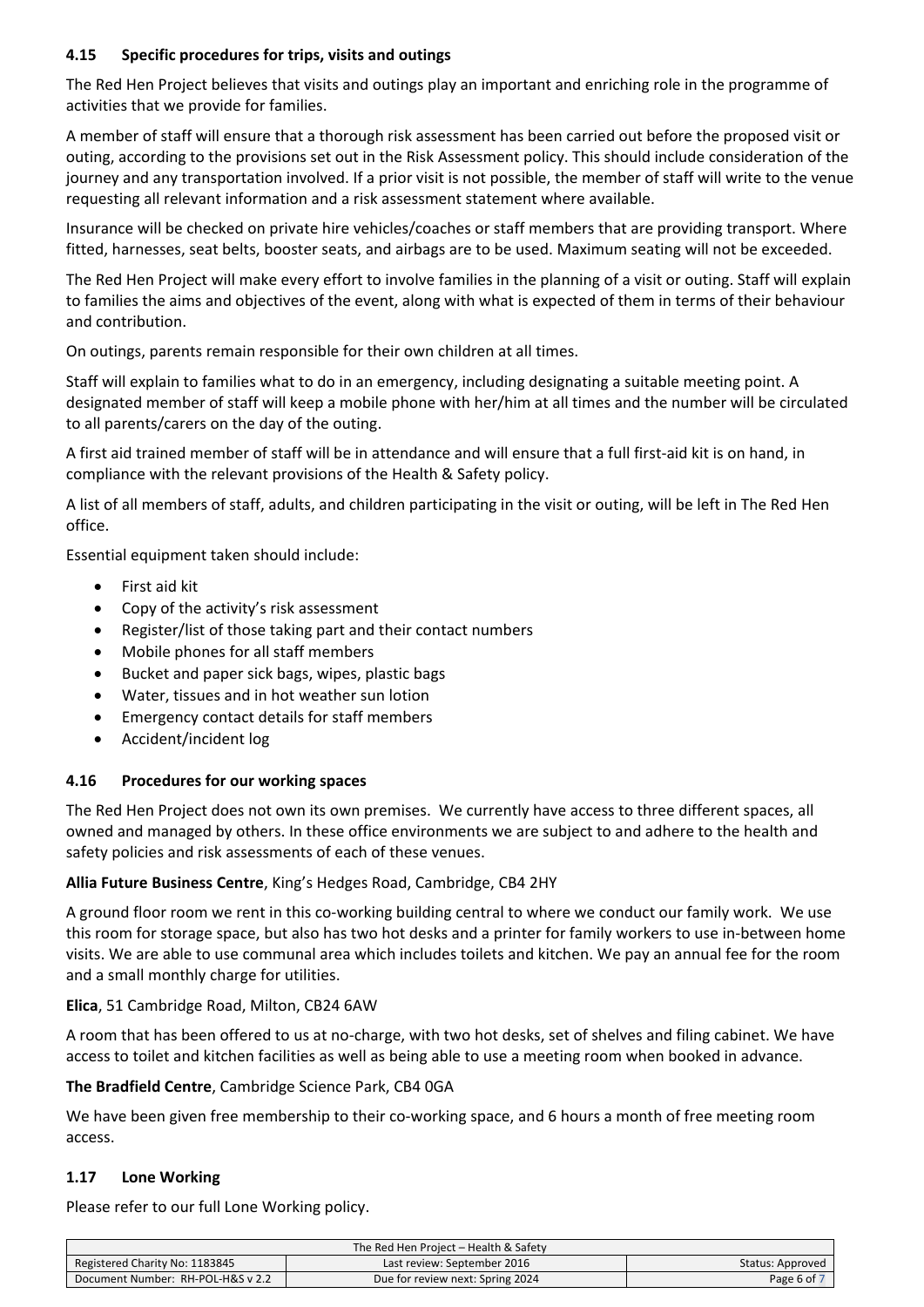#### **4.15 Specific procedures for trips, visits and outings**

The Red Hen Project believes that visits and outings play an important and enriching role in the programme of activities that we provide for families.

A member of staff will ensure that a thorough risk assessment has been carried out before the proposed visit or outing, according to the provisions set out in the Risk Assessment policy. This should include consideration of the journey and any transportation involved. If a prior visit is not possible, the member of staff will write to the venue requesting all relevant information and a risk assessment statement where available.

Insurance will be checked on private hire vehicles/coaches or staff members that are providing transport. Where fitted, harnesses, seat belts, booster seats, and airbags are to be used. Maximum seating will not be exceeded.

The Red Hen Project will make every effort to involve families in the planning of a visit or outing. Staff will explain to families the aims and objectives of the event, along with what is expected of them in terms of their behaviour and contribution.

On outings, parents remain responsible for their own children at all times.

Staff will explain to families what to do in an emergency, including designating a suitable meeting point. A designated member of staff will keep a mobile phone with her/him at all times and the number will be circulated to all parents/carers on the day of the outing.

A first aid trained member of staff will be in attendance and will ensure that a full first-aid kit is on hand, in compliance with the relevant provisions of the Health & Safety policy.

A list of all members of staff, adults, and children participating in the visit or outing, will be left in The Red Hen office.

Essential equipment taken should include:

- First aid kit
- Copy of the activity's risk assessment
- Register/list of those taking part and their contact numbers
- Mobile phones for all staff members
- Bucket and paper sick bags, wipes, plastic bags
- Water, tissues and in hot weather sun lotion
- Emergency contact details for staff members
- Accident/incident log

#### **4.16 Procedures for our working spaces**

The Red Hen Project does not own its own premises. We currently have access to three different spaces, all owned and managed by others. In these office environments we are subject to and adhere to the health and safety policies and risk assessments of each of these venues.

#### **Allia Future Business Centre**, King's Hedges Road, Cambridge, CB4 2HY

A ground floor room we rent in this co-working building central to where we conduct our family work. We use this room for storage space, but also has two hot desks and a printer for family workers to use in-between home visits. We are able to use communal area which includes toilets and kitchen. We pay an annual fee for the room and a small monthly charge for utilities.

#### **Elica**, 51 Cambridge Road, Milton, CB24 6AW

A room that has been offered to us at no-charge, with two hot desks, set of shelves and filing cabinet. We have access to toilet and kitchen facilities as well as being able to use a meeting room when booked in advance.

#### **The Bradfield Centre**, Cambridge Science Park, CB4 0GA

We have been given free membership to their co-working space, and 6 hours a month of free meeting room access.

#### **1.17 Lone Working**

Please refer to our full Lone Working policy.

| The Red Hen Project - Health & Safety |                                  |                  |
|---------------------------------------|----------------------------------|------------------|
| Registered Charity No: 1183845        | Last review: September 2016      | Status: Approved |
| Document Number: RH-POL-H&S v 2.2     | Due for review next: Spring 2024 | Page 6 of        |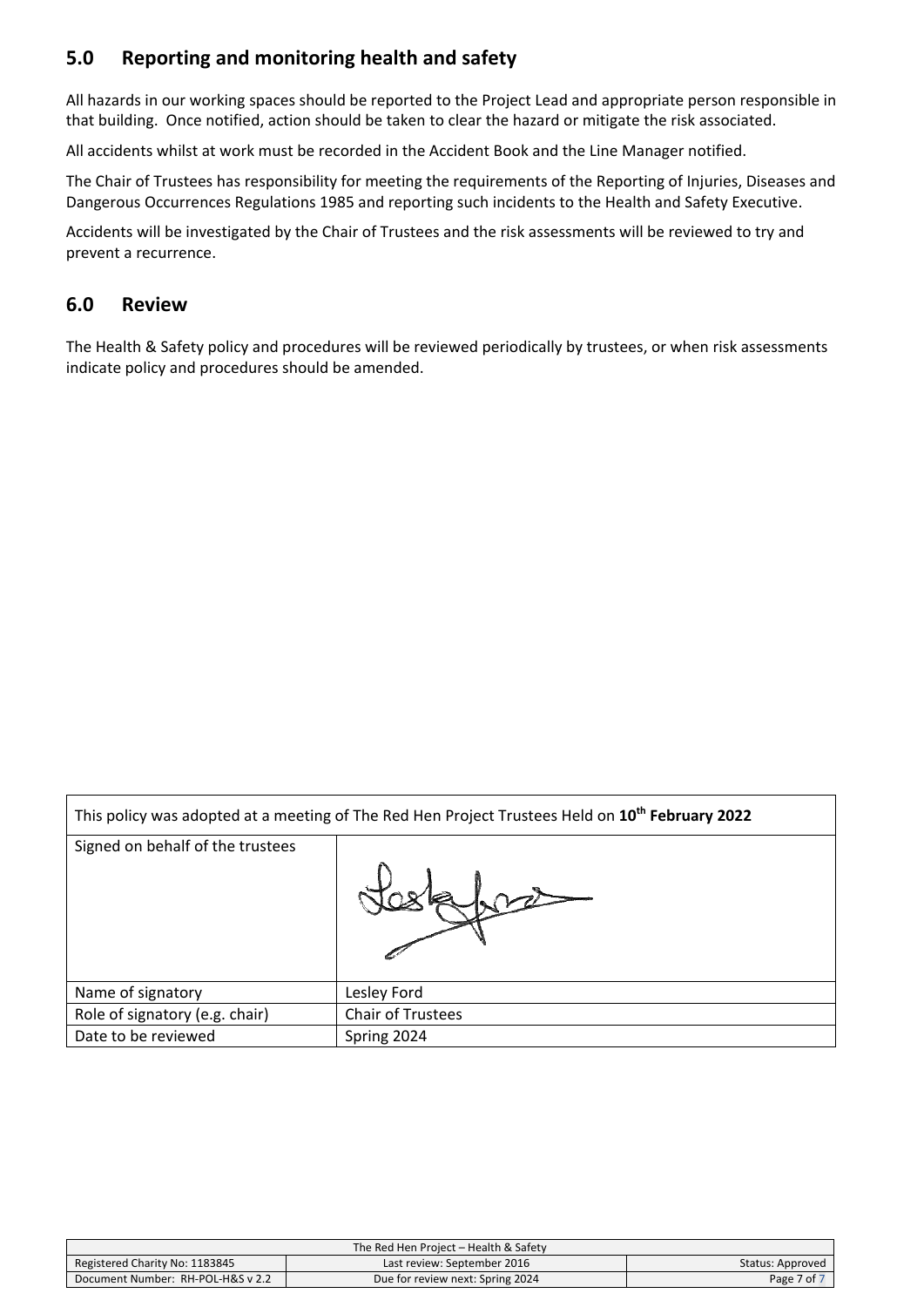#### **5.0 Reporting and monitoring health and safety**

All hazards in our working spaces should be reported to the Project Lead and appropriate person responsible in that building. Once notified, action should be taken to clear the hazard or mitigate the risk associated.

All accidents whilst at work must be recorded in the Accident Book and the Line Manager notified.

The Chair of Trustees has responsibility for meeting the requirements of the Reporting of Injuries, Diseases and Dangerous Occurrences Regulations 1985 and reporting such incidents to the Health and Safety Executive.

Accidents will be investigated by the Chair of Trustees and the risk assessments will be reviewed to try and prevent a recurrence.

#### **6.0 Review**

 $\overline{\Gamma}$ 

The Health & Safety policy and procedures will be reviewed periodically by trustees, or when risk assessments indicate policy and procedures should be amended.

| This policy was adopted at a meeting of The Red Hen Project Trustees Held on 10 <sup>th</sup> February 2022 |                          |  |
|-------------------------------------------------------------------------------------------------------------|--------------------------|--|
| Signed on behalf of the trustees                                                                            |                          |  |
|                                                                                                             |                          |  |
| Name of signatory                                                                                           | Lesley Ford              |  |
| Role of signatory (e.g. chair)                                                                              | <b>Chair of Trustees</b> |  |
| Date to be reviewed                                                                                         | Spring 2024              |  |

| The Red Hen Project – Health & Safety |                                  |                  |
|---------------------------------------|----------------------------------|------------------|
| Registered Charity No: 1183845        | Last review: September 2016      | Status: Approved |
| Document Number: RH-POL-H&S v 2.2     | Due for review next: Spring 2024 | Page 7 of        |